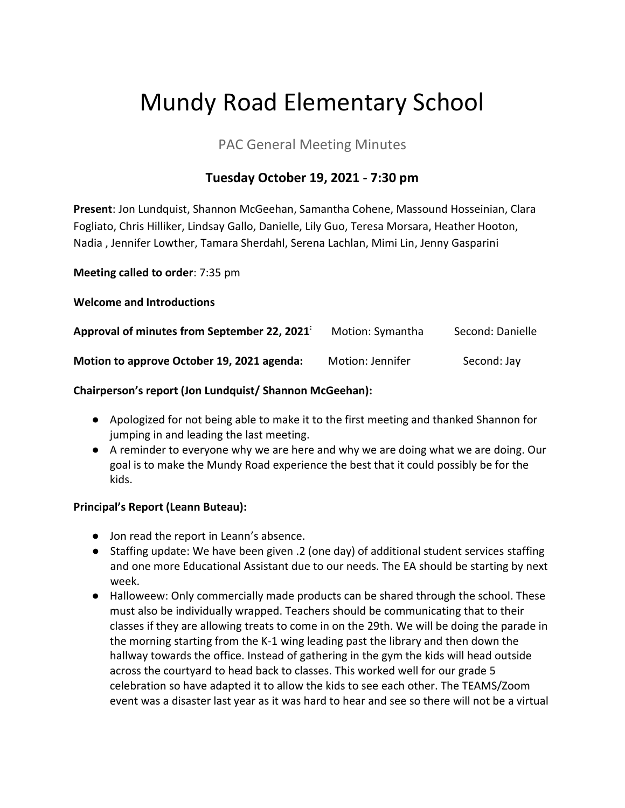# Mundy Road Elementary School

# PAC General Meeting Minutes

# **Tuesday October 19, 2021 - 7:30 pm**

**Present**: Jon Lundquist, Shannon McGeehan, Samantha Cohene, Massound Hosseinian, Clara Fogliato, Chris Hilliker, Lindsay Gallo, Danielle, Lily Guo, Teresa Morsara, Heather Hooton, Nadia , Jennifer Lowther, Tamara Sherdahl, Serena Lachlan, Mimi Lin, Jenny Gasparini

**Meeting called to order**: 7:35 pm

**Welcome and Introductions**

| Approval of minutes from September 22, 2021 | Motion: Symantha | Second: Danielle |
|---------------------------------------------|------------------|------------------|
| Motion to approve October 19, 2021 agenda:  | Motion: Jennifer | Second: Jay      |

## **Chairperson's report (Jon Lundquist/ Shannon McGeehan):**

- Apologized for not being able to make it to the first meeting and thanked Shannon for jumping in and leading the last meeting.
- A reminder to everyone why we are here and why we are doing what we are doing. Our goal is to make the Mundy Road experience the best that it could possibly be for the kids.

## **Principal's Report (Leann Buteau):**

- Jon read the report in Leann's absence.
- Staffing update: We have been given .2 (one day) of additional student services staffing and one more Educational Assistant due to our needs. The EA should be starting by next week.
- Halloweew: Only commercially made products can be shared through the school. These must also be individually wrapped. Teachers should be communicating that to their classes if they are allowing treats to come in on the 29th. We will be doing the parade in the morning starting from the K-1 wing leading past the library and then down the hallway towards the office. Instead of gathering in the gym the kids will head outside across the courtyard to head back to classes. This worked well for our grade 5 celebration so have adapted it to allow the kids to see each other. The TEAMS/Zoom event was a disaster last year as it was hard to hear and see so there will not be a virtual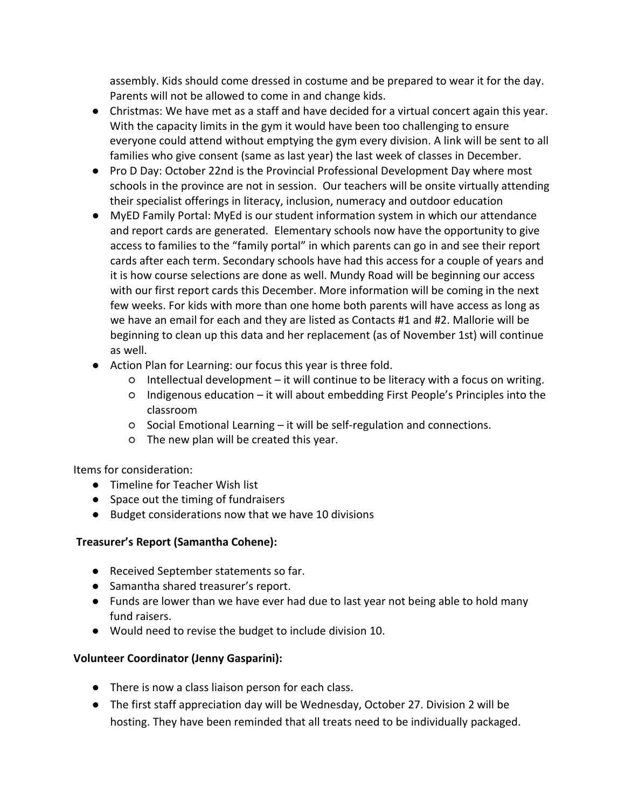assembly. Kids should come dressed in costume and be prepared to wear it for the day. Parents will not be allowed to come in and change kids.

- Christmas: We have met as a staff and have decided for a virtual concert again this year. With the capacity limits in the gym it would have been too challenging to ensure everyone could attend without emptying the gym every division. A link will be sent to all families who give consent (same as last year) the last week of classes in December.
- Pro D Day: October 22nd is the Provincial Professional Development Day where most schools in the province are not in session. Our teachers will be onsite virtually attending their specialist offerings in literacy, inclusion, numeracy and outdoor education
- MyED Family Portal: MyEd is our student information system in which our attendance and report cards are generated. Elementary schools now have the opportunity to give access to families to the "family portal" in which parents can go in and see their report cards after each term. Secondary schools have had this access for a couple of years and it is how course selections are done as well. Mundy Road will be beginning our access with our first report cards this December. More information will be coming in the next few weeks. For kids with more than one home both parents will have access as long as we have an email for each and they are listed as Contacts #1 and #2. Mallorie will be beginning to clean up this data and her replacement (as of November 1st) will continue as well.
- Action Plan for Learning: our focus this year is three fold.
	- Intellectual development it will continue to be literacy with a focus on writing.
	- Indigenous education it will about embedding First People's Principles into the classroom
	- Social Emotional Learning it will be self-regulation and connections.
	- The new plan will be created this year.

Items for consideration:

- Timeline for Teacher Wish list
- Space out the timing of fundraisers
- Budget considerations now that we have 10 divisions

#### **Treasurer's Report (Samantha Cohene):**

- Received September statements so far.
- Samantha shared treasurer's report.
- Funds are lower than we have ever had due to last year not being able to hold many fund raisers.
- Would need to revise the budget to include division 10.

#### **Volunteer Coordinator (Jenny Gasparini):**

- There is now a class liaison person for each class.
- The first staff appreciation day will be Wednesday, October 27. Division 2 will be hosting. They have been reminded that all treats need to be individually packaged.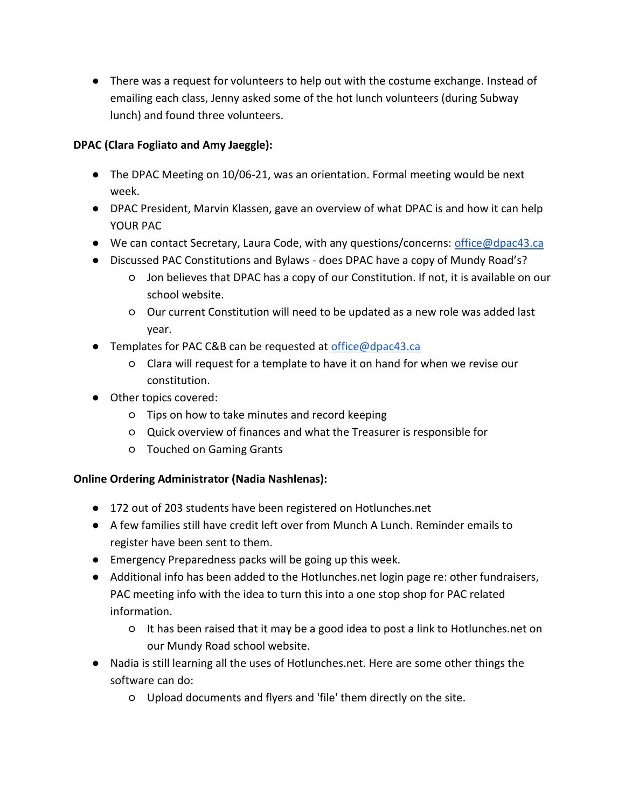● There was a request for volunteers to help out with the costume exchange. Instead of emailing each class, Jenny asked some of the hot lunch volunteers (during Subway lunch) and found three volunteers.

## **DPAC (Clara Fogliato and Amy Jaeggle):**

- The DPAC Meeting on 10/06-21, was an orientation. Formal meeting would be next week.
- DPAC President, Marvin Klassen, gave an overview of what DPAC is and how it can help YOUR PAC
- We can contact Secretary, Laura Code, with any questions/concerns: [office@dpac43.ca](mailto:office@dpac43.ca)
- Discussed PAC Constitutions and Bylaws does DPAC have a copy of Mundy Road's?
	- Jon believes that DPAC has a copy of our Constitution. If not, it is available on our school website.
	- Our current Constitution will need to be updated as a new role was added last year.
- Templates for PAC C&B can be requested at [office@dpac43.ca](mailto:office@dpac43.ca)
	- Clara will request for a template to have it on hand for when we revise our constitution.
- Other topics covered:
	- Tips on how to take minutes and record keeping
	- Quick overview of finances and what the Treasurer is responsible for
	- Touched on Gaming Grants

## **Online Ordering Administrator (Nadia Nashlenas):**

- 172 out of 203 students have been registered on Hotlunches.net
- A few families still have credit left over from Munch A Lunch. Reminder emails to register have been sent to them.
- Emergency Preparedness packs will be going up this week.
- Additional info has been added to the Hotlunches.net login page re: other fundraisers, PAC meeting info with the idea to turn this into a one stop shop for PAC related information.
	- It has been raised that it may be a good idea to post a link to Hotlunches.net on our Mundy Road school website.
- Nadia is still learning all the uses of Hotlunches.net. Here are some other things the software can do:
	- Upload documents and flyers and 'file' them directly on the site.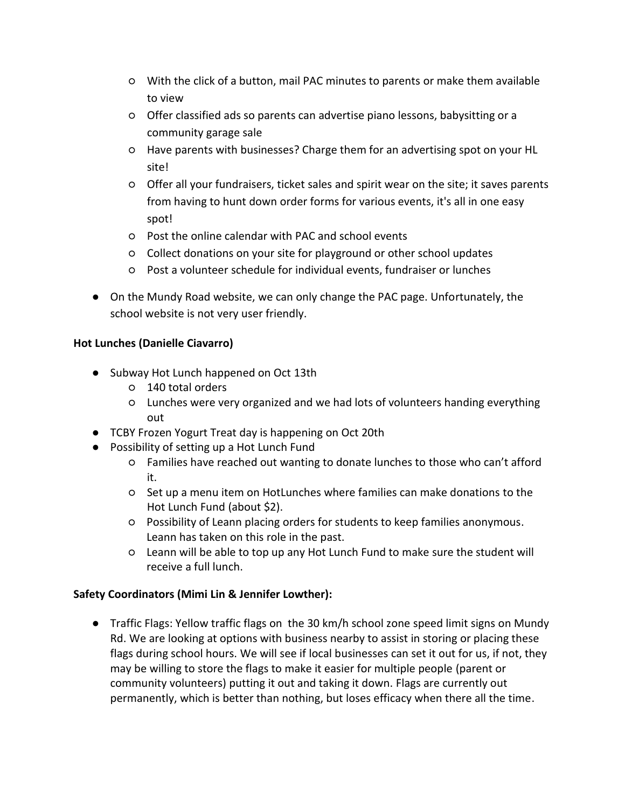- With the click of a button, mail PAC minutes to parents or make them available to view
- Offer classified ads so parents can advertise piano lessons, babysitting or a community garage sale
- Have parents with businesses? Charge them for an advertising spot on your HL site!
- Offer all your fundraisers, ticket sales and spirit wear on the site; it saves parents from having to hunt down order forms for various events, it's all in one easy spot!
- Post the online calendar with PAC and school events
- Collect donations on your site for playground or other school updates
- Post a volunteer schedule for individual events, fundraiser or lunches
- On the Mundy Road website, we can only change the PAC page. Unfortunately, the school website is not very user friendly.

## **Hot Lunches (Danielle Ciavarro)**

- Subway Hot Lunch happened on Oct 13th
	- 140 total orders
	- Lunches were very organized and we had lots of volunteers handing everything out
- TCBY Frozen Yogurt Treat day is happening on Oct 20th
- Possibility of setting up a Hot Lunch Fund
	- Families have reached out wanting to donate lunches to those who can't afford it.
	- Set up a menu item on HotLunches where families can make donations to the Hot Lunch Fund (about \$2).
	- Possibility of Leann placing orders for students to keep families anonymous. Leann has taken on this role in the past.
	- Leann will be able to top up any Hot Lunch Fund to make sure the student will receive a full lunch.

## **Safety Coordinators (Mimi Lin & Jennifer Lowther):**

● Traffic Flags: Yellow traffic flags on the 30 km/h school zone speed limit signs on Mundy Rd. We are looking at options with business nearby to assist in storing or placing these flags during school hours. We will see if local businesses can set it out for us, if not, they may be willing to store the flags to make it easier for multiple people (parent or community volunteers) putting it out and taking it down. Flags are currently out permanently, which is better than nothing, but loses efficacy when there all the time.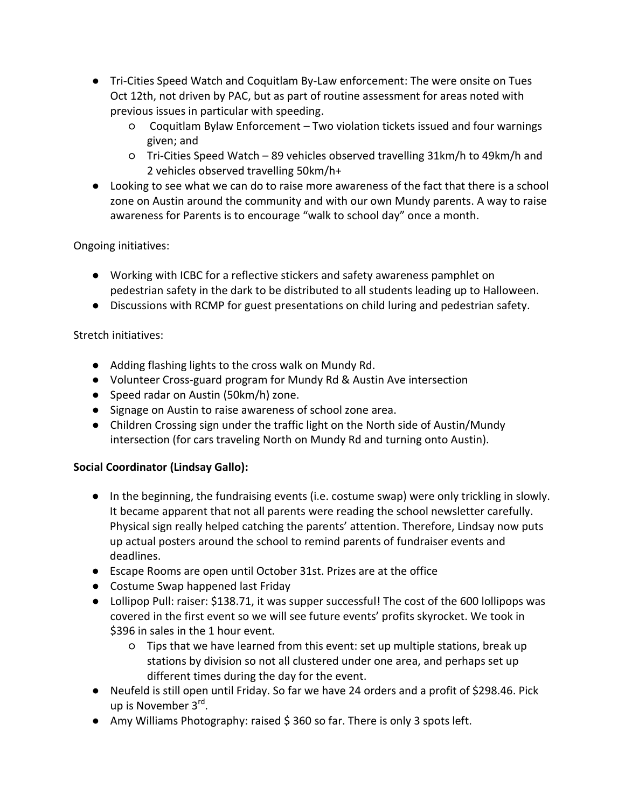- Tri-Cities Speed Watch and Coquitlam By-Law enforcement: The were onsite on Tues Oct 12th, not driven by PAC, but as part of routine assessment for areas noted with previous issues in particular with speeding.
	- Coquitlam Bylaw Enforcement Two violation tickets issued and four warnings given; and
	- Tri-Cities Speed Watch 89 vehicles observed travelling 31km/h to 49km/h and 2 vehicles observed travelling 50km/h+
- Looking to see what we can do to raise more awareness of the fact that there is a school zone on Austin around the community and with our own Mundy parents. A way to raise awareness for Parents is to encourage "walk to school day" once a month.

## Ongoing initiatives:

- Working with ICBC for a reflective stickers and safety awareness pamphlet on pedestrian safety in the dark to be distributed to all students leading up to Halloween.
- Discussions with RCMP for guest presentations on child luring and pedestrian safety.

## Stretch initiatives:

- Adding flashing lights to the cross walk on Mundy Rd.
- Volunteer Cross-guard program for Mundy Rd & Austin Ave intersection
- Speed radar on Austin (50km/h) zone.
- Signage on Austin to raise awareness of school zone area.
- Children Crossing sign under the traffic light on the North side of Austin/Mundy intersection (for cars traveling North on Mundy Rd and turning onto Austin).

## **Social Coordinator (Lindsay Gallo):**

- In the beginning, the fundraising events (i.e. costume swap) were only trickling in slowly. It became apparent that not all parents were reading the school newsletter carefully. Physical sign really helped catching the parents' attention. Therefore, Lindsay now puts up actual posters around the school to remind parents of fundraiser events and deadlines.
- Escape Rooms are open until October 31st. Prizes are at the office
- Costume Swap happened last Friday
- Lollipop Pull: raiser: \$138.71, it was supper successful! The cost of the 600 lollipops was covered in the first event so we will see future events' profits skyrocket. We took in \$396 in sales in the 1 hour event.
	- Tips that we have learned from this event: set up multiple stations, break up stations by division so not all clustered under one area, and perhaps set up different times during the day for the event.
- Neufeld is still open until Friday. So far we have 24 orders and a profit of \$298.46. Pick up is November 3<sup>rd</sup>.
- Amy Williams Photography: raised \$ 360 so far. There is only 3 spots left.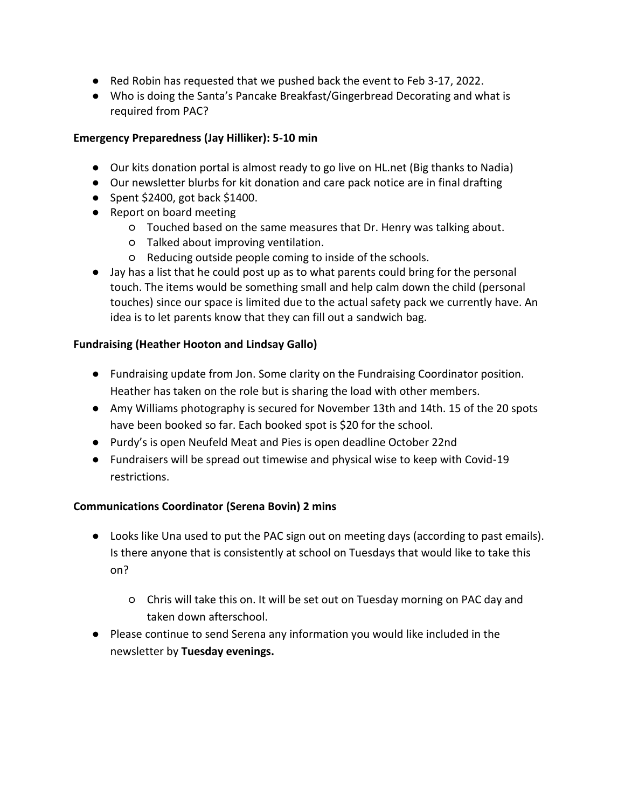- Red Robin has requested that we pushed back the event to Feb 3-17, 2022.
- Who is doing the Santa's Pancake Breakfast/Gingerbread Decorating and what is required from PAC?

#### **Emergency Preparedness (Jay Hilliker): 5-10 min**

- Our kits donation portal is almost ready to go live on HL.net (Big thanks to Nadia)
- Our newsletter blurbs for kit donation and care pack notice are in final drafting
- $\bullet$  Spent \$2400, got back \$1400.
- Report on board meeting
	- Touched based on the same measures that Dr. Henry was talking about.
	- Talked about improving ventilation.
	- Reducing outside people coming to inside of the schools.
- Jay has a list that he could post up as to what parents could bring for the personal touch. The items would be something small and help calm down the child (personal touches) since our space is limited due to the actual safety pack we currently have. An idea is to let parents know that they can fill out a sandwich bag.

## **Fundraising (Heather Hooton and Lindsay Gallo)**

- Fundraising update from Jon. Some clarity on the Fundraising Coordinator position. Heather has taken on the role but is sharing the load with other members.
- Amy Williams photography is secured for November 13th and 14th. 15 of the 20 spots have been booked so far. Each booked spot is \$20 for the school.
- Purdy's is open Neufeld Meat and Pies is open deadline October 22nd
- Fundraisers will be spread out timewise and physical wise to keep with Covid-19 restrictions.

## **Communications Coordinator (Serena Bovin) 2 mins**

- Looks like Una used to put the PAC sign out on meeting days (according to past emails). Is there anyone that is consistently at school on Tuesdays that would like to take this on?
	- Chris will take this on. It will be set out on Tuesday morning on PAC day and taken down afterschool.
- Please continue to send Serena any information you would like included in the newsletter by **Tuesday evenings.**